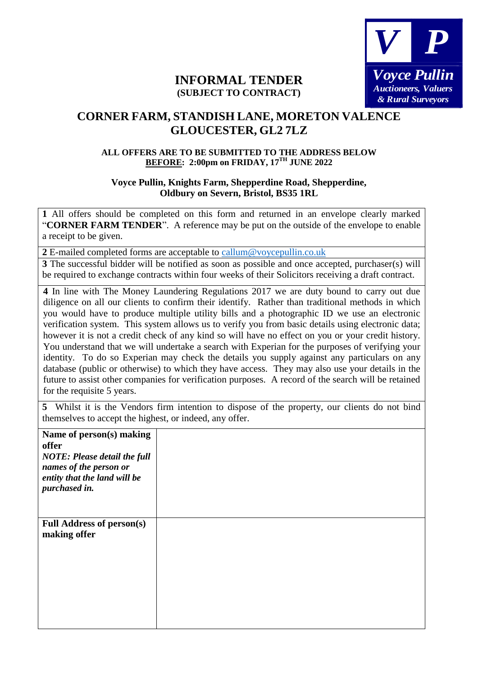

## **INFORMAL TENDER (SUBJECT TO CONTRACT)**

## **CORNER FARM, STANDISH LANE, MORETON VALENCE GLOUCESTER, GL2 7LZ**

## **ALL OFFERS ARE TO BE SUBMITTED TO THE ADDRESS BELOW BEFORE: 2:00pm on FRIDAY, 17TH JUNE 2022**

## **Voyce Pullin, Knights Farm, Shepperdine Road, Shepperdine, Oldbury on Severn, Bristol, BS35 1RL**

**1** All offers should be completed on this form and returned in an envelope clearly marked "**CORNER FARM TENDER**". A reference may be put on the outside of the envelope to enable a receipt to be given.

**2** E-mailed completed forms are acceptable to callum@voycepullin.co.uk

**3** The successful bidder will be notified as soon as possible and once accepted, purchaser(s) will be required to exchange contracts within four weeks of their Solicitors receiving a draft contract.

**4** In line with The Money Laundering Regulations 2017 we are duty bound to carry out due diligence on all our clients to confirm their identify. Rather than traditional methods in which you would have to produce multiple utility bills and a photographic ID we use an electronic verification system. This system allows us to verify you from basic details using electronic data; however it is not a credit check of any kind so will have no effect on you or your credit history. You understand that we will undertake a search with Experian for the purposes of verifying your identity. To do so Experian may check the details you supply against any particulars on any database (public or otherwise) to which they have access. They may also use your details in the future to assist other companies for verification purposes. A record of the search will be retained for the requisite 5 years.

**5** Whilst it is the Vendors firm intention to dispose of the property, our clients do not bind themselves to accept the highest, or indeed, any offer.

| Name of person(s) making<br>offer<br><b>NOTE: Please detail the full</b><br>names of the person or<br>entity that the land will be<br>purchased in. |  |
|-----------------------------------------------------------------------------------------------------------------------------------------------------|--|
| <b>Full Address of person(s)</b><br>making offer                                                                                                    |  |